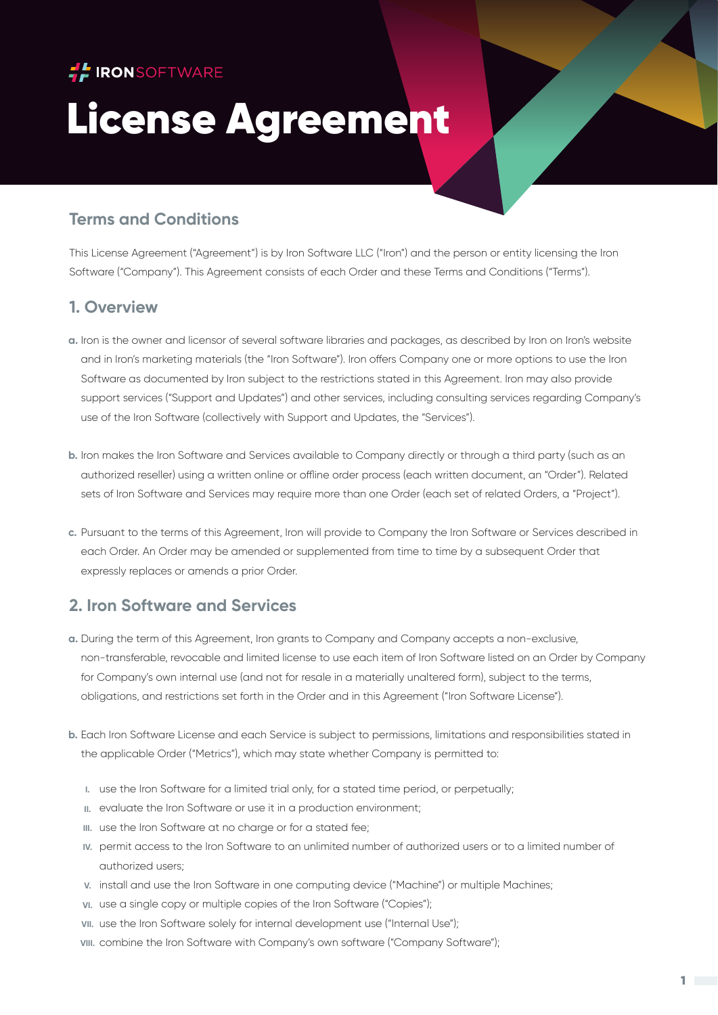

# License Agreement

## **Terms and Conditions**

This License Agreement ("Agreement") is by Iron Software LLC ("Iron") and the person or entity licensing the Iron Software ("Company"). This Agreement consists of each Order and these Terms and Conditions ("Terms").

## **1. Overview**

- Iron is the owner and licensor of several software libraries and packages, as described by Iron on Iron's website **a.** and in Iron's marketing materials (the "Iron Software"). Iron offers Company one or more options to use the Iron Software as documented by Iron subject to the restrictions stated in this Agreement. Iron may also provide support services ("Support and Updates") and other services, including consulting services regarding Company's use of the Iron Software (collectively with Support and Updates, the "Services").
- Iron makes the Iron Software and Services available to Company directly or through a third party (such as an **b.** authorized reseller) using a written online or offline order process (each written document, an "Order"). Related sets of Iron Software and Services may require more than one Order (each set of related Orders, a "Project").
- Pursuant to the terms of this Agreement, Iron will provide to Company the Iron Software or Services described in **c.** each Order. An Order may be amended or supplemented from time to time by a subsequent Order that expressly replaces or amends a prior Order.

## **2. Iron Software and Services**

- During the term of this Agreement, Iron grants to Company and Company accepts a non-exclusive, **a.** non-transferable, revocable and limited license to use each item of Iron Software listed on an Order by Company for Company's own internal use (and not for resale in a materially unaltered form), subject to the terms, obligations, and restrictions set forth in the Order and in this Agreement ("Iron Software License").
- Each Iron Software License and each Service is subject to permissions, limitations and responsibilities stated in **b.** the applicable Order ("Metrics"), which may state whether Company is permitted to:
	- **I.** use the Iron Software for a limited trial only, for a stated time period, or perpetually;
	- evaluate the Iron Software or use it in a production environment; **II.**
	- III. use the Iron Software at no charge or for a stated fee;
	- permit access to the Iron Software to an unlimited number of authorized users or to a limited number of **IV.** authorized users;
	- v. install and use the Iron Software in one computing device ("Machine") or multiple Machines;
	- **vi.** use a single copy or multiple copies of the Iron Software ("Copies");
	- **vii.** use the Iron Software solely for internal development use ("Internal Use");
	- combine the Iron Software with Company's own software ("Company Software"); **VIII.**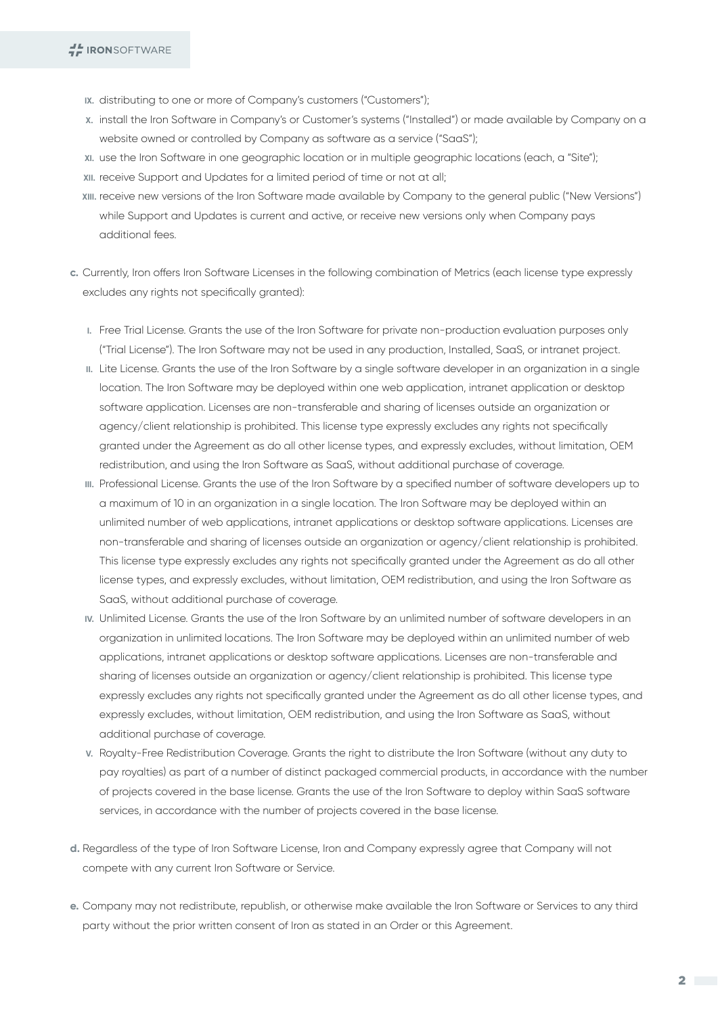- **IX.** distributing to one or more of Company's customers ("Customers");
- install the Iron Software in Company's or Customer's systems ("Installed") or made available by Company on a **X.** website owned or controlled by Company as software as a service ("SaaS");
- use the Iron Software in one geographic location or in multiple geographic locations (each, a "Site"); **XI.**
- **xII.** receive Support and Updates for a limited period of time or not at all;
- receive new versions of the Iron Software made available by Company to the general public ("New Versions") **XIII.** while Support and Updates is current and active, or receive new versions only when Company pays additional fees.
- Currently, Iron offers Iron Software Licenses in the following combination of Metrics (each license type expressly **c.** excludes any rights not specifically granted):
	- **I.** Free Trial License. Grants the use of the Iron Software for private non-production evaluation purposes only ("Trial License"). The Iron Software may not be used in any production, Installed, SaaS, or intranet project.
	- **II.** Lite License. Grants the use of the Iron Software by a single software developer in an organization in a single location. The Iron Software may be deployed within one web application, intranet application or desktop software application. Licenses are non-transferable and sharing of licenses outside an organization or agency/client relationship is prohibited. This license type expressly excludes any rights not specifically granted under the Agreement as do all other license types, and expressly excludes, without limitation, OEM redistribution, and using the Iron Software as SaaS, without additional purchase of coverage.
	- **III.** Professional License. Grants the use of the Iron Software by a specified number of software developers up to a maximum of 10 in an organization in a single location. The Iron Software may be deployed within an unlimited number of web applications, intranet applications or desktop software applications. Licenses are non-transferable and sharing of licenses outside an organization or agency/client relationship is prohibited. This license type expressly excludes any rights not specifically granted under the Agreement as do all other license types, and expressly excludes, without limitation, OEM redistribution, and using the Iron Software as SaaS, without additional purchase of coverage.
	- **IV.** Unlimited License. Grants the use of the Iron Software by an unlimited number of software developers in an organization in unlimited locations. The Iron Software may be deployed within an unlimited number of web applications, intranet applications or desktop software applications. Licenses are non-transferable and sharing of licenses outside an organization or agency/client relationship is prohibited. This license type expressly excludes any rights not specifically granted under the Agreement as do all other license types, and expressly excludes, without limitation, OEM redistribution, and using the Iron Software as SaaS, without additional purchase of coverage.
	- **V.** Royalty-Free Redistribution Coverage. Grants the right to distribute the Iron Software (without any duty to pay royalties) as part of a number of distinct packaged commercial products, in accordance with the number of projects covered in the base license. Grants the use of the Iron Software to deploy within SaaS software services, in accordance with the number of projects covered in the base license.
- Regardless of the type of Iron Software License, Iron and Company expressly agree that Company will not **d.** compete with any current Iron Software or Service.
- Company may not redistribute, republish, or otherwise make available the Iron Software or Services to any third **e.** party without the prior written consent of Iron as stated in an Order or this Agreement.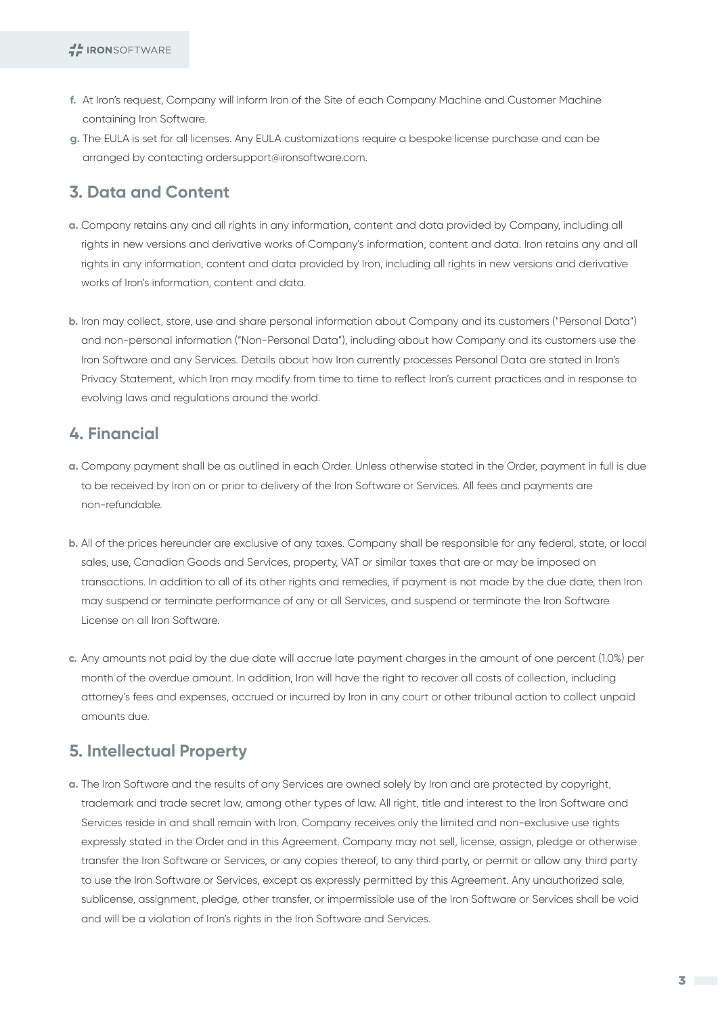- At Iron's request, Company will inform Iron of the Site of each Company Machine and Customer Machine **f.** containing Iron Software.
- The EULA is set for all licenses. Any EULA customizations require a bespoke license purchase and can be **g.** arranged by contacting ordersupport@ironsoftware.com.

## **3. Data and Content**

- Company retains any and all rights in any information, content and data provided by Company, including all **a.** rights in new versions and derivative works of Company's information, content and data. Iron retains any and all rights in any information, content and data provided by Iron, including all rights in new versions and derivative works of Iron's information, content and data.
- **b.** Iron may collect, store, use and share personal information about Company and its customers ("Personal Data") and non-personal information ("Non-Personal Data"), including about how Company and its customers use the Iron Software and any Services. Details about how Iron currently processes Personal Data are stated in Iron's Privacy Statement, which Iron may modify from time to time to reflect Iron's current practices and in response to evolving laws and regulations around the world.

## **4. Financial**

- Company payment shall be as outlined in each Order. Unless otherwise stated in the Order, payment in full is due **a.** to be received by Iron on or prior to delivery of the Iron Software or Services. All fees and payments are non-refundable.
- All of the prices hereunder are exclusive of any taxes. Company shall be responsible for any federal, state, or local **b.** sales, use, Canadian Goods and Services, property, VAT or similar taxes that are or may be imposed on transactions. In addition to all of its other rights and remedies, if payment is not made by the due date, then Iron may suspend or terminate performance of any or all Services, and suspend or terminate the Iron Software License on all Iron Software.
- Any amounts not paid by the due date will accrue late payment charges in the amount of one percent (1.0%) per **c.** month of the overdue amount. In addition, Iron will have the right to recover all costs of collection, including attorney's fees and expenses, accrued or incurred by Iron in any court or other tribunal action to collect unpaid amounts due.

## **5. Intellectual Property**

The Iron Software and the results of any Services are owned solely by Iron and are protected by copyright, **a.** trademark and trade secret law, among other types of law. All right, title and interest to the Iron Software and Services reside in and shall remain with Iron. Company receives only the limited and non-exclusive use rights expressly stated in the Order and in this Agreement. Company may not sell, license, assign, pledge or otherwise transfer the Iron Software or Services, or any copies thereof, to any third party, or permit or allow any third party to use the Iron Software or Services, except as expressly permitted by this Agreement. Any unauthorized sale, sublicense, assignment, pledge, other transfer, or impermissible use of the Iron Software or Services shall be void and will be a violation of Iron's rights in the Iron Software and Services.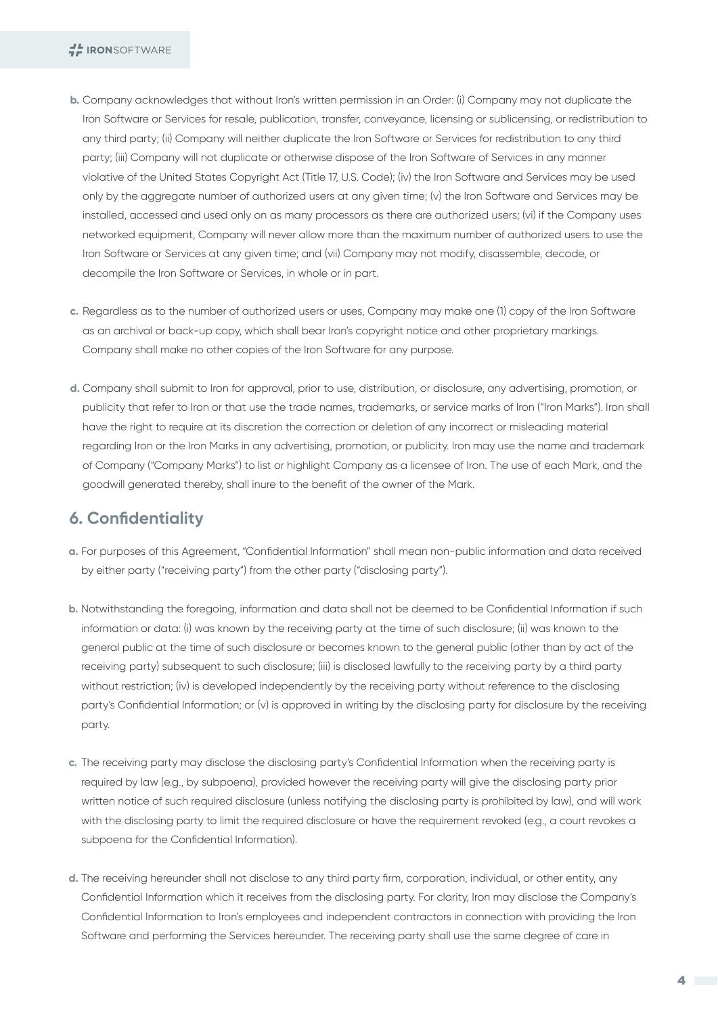- Company acknowledges that without Iron's written permission in an Order: (i) Company may not duplicate the **b.** Iron Software or Services for resale, publication, transfer, conveyance, licensing or sublicensing, or redistribution to any third party; (ii) Company will neither duplicate the Iron Software or Services for redistribution to any third party; (iii) Company will not duplicate or otherwise dispose of the Iron Software of Services in any manner violative of the United States Copyright Act (Title 17, U.S. Code); (iv) the Iron Software and Services may be used only by the aggregate number of authorized users at any given time; (v) the Iron Software and Services may be installed, accessed and used only on as many processors as there are authorized users; (vi) if the Company uses networked equipment, Company will never allow more than the maximum number of authorized users to use the Iron Software or Services at any given time; and (vii) Company may not modify, disassemble, decode, or decompile the Iron Software or Services, in whole or in part.
- Regardless as to the number of authorized users or uses, Company may make one (1) copy of the Iron Software **c.** as an archival or back-up copy, which shall bear Iron's copyright notice and other proprietary markings. Company shall make no other copies of the Iron Software for any purpose.
- Company shall submit to Iron for approval, prior to use, distribution, or disclosure, any advertising, promotion, or **d.** publicity that refer to Iron or that use the trade names, trademarks, or service marks of Iron ("Iron Marks"). Iron shall have the right to require at its discretion the correction or deletion of any incorrect or misleading material regarding Iron or the Iron Marks in any advertising, promotion, or publicity. Iron may use the name and trademark of Company ("Company Marks") to list or highlight Company as a licensee of Iron. The use of each Mark, and the goodwill generated thereby, shall inure to the benefit of the owner of the Mark.

#### **6. Confidentiality**

- For purposes of this Agreement, "Confidential Information" shall mean non-public information and data received **a.** by either party ("receiving party") from the other party ("disclosing party").
- Notwithstanding the foregoing, information and data shall not be deemed to be Confidential Information if such **b.** information or data: (i) was known by the receiving party at the time of such disclosure; (ii) was known to the general public at the time of such disclosure or becomes known to the general public (other than by act of the receiving party) subsequent to such disclosure; (iii) is disclosed lawfully to the receiving party by a third party without restriction; (iv) is developed independently by the receiving party without reference to the disclosing party's Confidential Information; or (v) is approved in writing by the disclosing party for disclosure by the receiving party.
- The receiving party may disclose the disclosing party's Confidential Information when the receiving party is **c.** required by law (e.g., by subpoena), provided however the receiving party will give the disclosing party prior written notice of such required disclosure (unless notifying the disclosing party is prohibited by law), and will work with the disclosing party to limit the required disclosure or have the requirement revoked (e.g., a court revokes a subpoena for the Confidential Information).
- The receiving hereunder shall not disclose to any third party firm, corporation, individual, or other entity, any **d.** Confidential Information which it receives from the disclosing party. For clarity, Iron may disclose the Company's Confidential Information to Iron's employees and independent contractors in connection with providing the Iron Software and performing the Services hereunder. The receiving party shall use the same degree of care in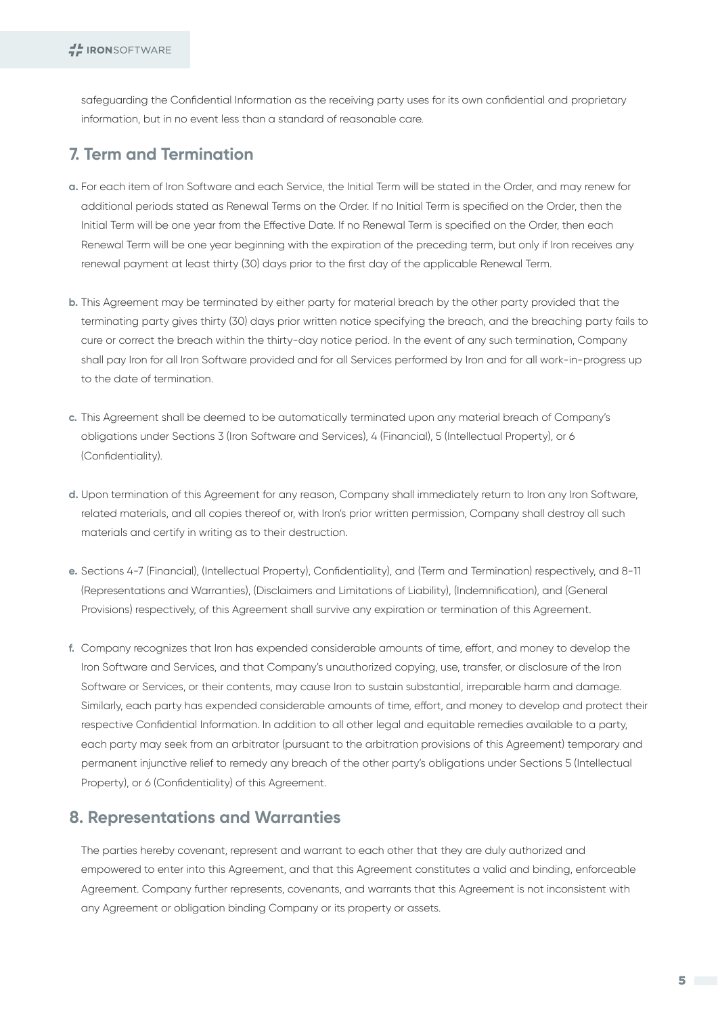safeguarding the Confidential Information as the receiving party uses for its own confidential and proprietary information, but in no event less than a standard of reasonable care.

### **7. Term and Termination**

- For each item of Iron Software and each Service, the Initial Term will be stated in the Order, and may renew for **a.** additional periods stated as Renewal Terms on the Order. If no Initial Term is specified on the Order, then the Initial Term will be one year from the Effective Date. If no Renewal Term is specified on the Order, then each Renewal Term will be one year beginning with the expiration of the preceding term, but only if Iron receives any renewal payment at least thirty (30) days prior to the first day of the applicable Renewal Term.
- This Agreement may be terminated by either party for material breach by the other party provided that the **b.** terminating party gives thirty (30) days prior written notice specifying the breach, and the breaching party fails to cure or correct the breach within the thirty-day notice period. In the event of any such termination, Company shall pay Iron for all Iron Software provided and for all Services performed by Iron and for all work-in-progress up to the date of termination.
- This Agreement shall be deemed to be automatically terminated upon any material breach of Company's **c.** obligations under Sections 3 (Iron Software and Services), 4 (Financial), 5 (Intellectual Property), or 6 (Confidentiality).
- Upon termination of this Agreement for any reason, Company shall immediately return to Iron any Iron Software, **d.** related materials, and all copies thereof or, with Iron's prior written permission, Company shall destroy all such materials and certify in writing as to their destruction.
- Sections 4-7 (Financial), (Intellectual Property), Confidentiality), and (Term and Termination) respectively, and 8-11 **e.** (Representations and Warranties), (Disclaimers and Limitations of Liability), (Indemnification), and (General Provisions) respectively, of this Agreement shall survive any expiration or termination of this Agreement.
- Company recognizes that Iron has expended considerable amounts of time, effort, and money to develop the **f.** Iron Software and Services, and that Company's unauthorized copying, use, transfer, or disclosure of the Iron Software or Services, or their contents, may cause Iron to sustain substantial, irreparable harm and damage. Similarly, each party has expended considerable amounts of time, effort, and money to develop and protect their respective Confidential Information. In addition to all other legal and equitable remedies available to a party, each party may seek from an arbitrator (pursuant to the arbitration provisions of this Agreement) temporary and permanent injunctive relief to remedy any breach of the other party's obligations under Sections 5 (Intellectual Property), or 6 (Confidentiality) of this Agreement.

#### **8. Representations and Warranties**

The parties hereby covenant, represent and warrant to each other that they are duly authorized and empowered to enter into this Agreement, and that this Agreement constitutes a valid and binding, enforceable Agreement. Company further represents, covenants, and warrants that this Agreement is not inconsistent with any Agreement or obligation binding Company or its property or assets.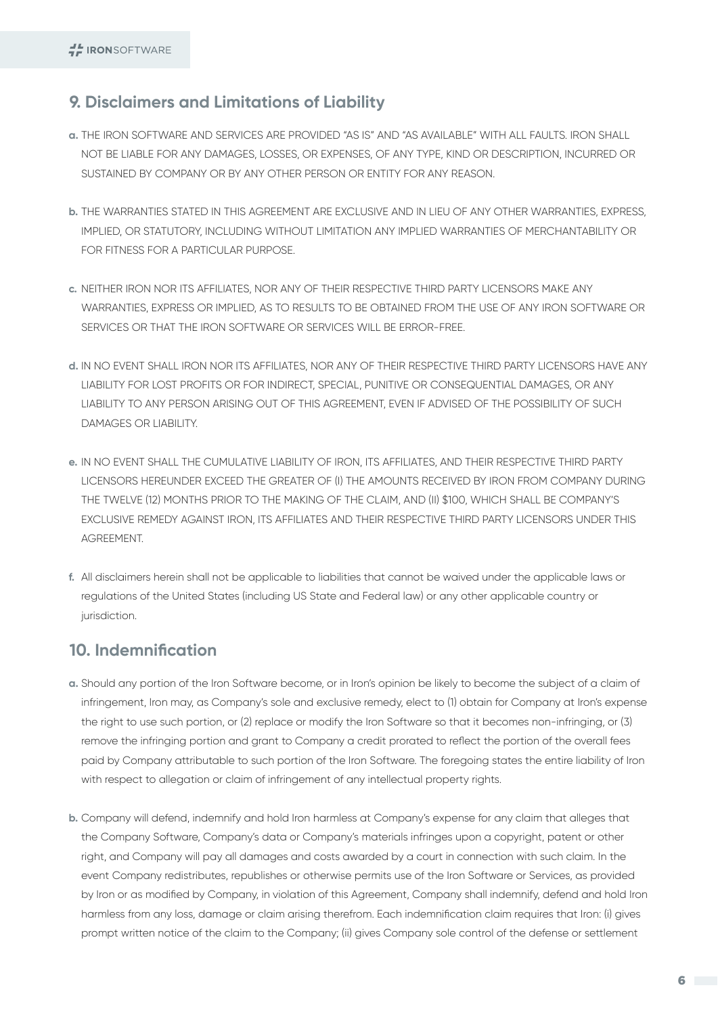### **9. Disclaimers and Limitations of Liability**

- THE IRON SOFTWARE AND SERVICES ARE PROVIDED "AS IS" AND "AS AVAILABLE" WITH ALL FAULTS. IRON SHALL **a.** NOT BE LIABLE FOR ANY DAMAGES, LOSSES, OR EXPENSES, OF ANY TYPE, KIND OR DESCRIPTION, INCURRED OR SUSTAINED BY COMPANY OR BY ANY OTHER PERSON OR ENTITY FOR ANY REASON.
- THE WARRANTIES STATED IN THIS AGREEMENT ARE EXCLUSIVE AND IN LIEU OF ANY OTHER WARRANTIES, EXPRESS, **b.** IMPLIED, OR STATUTORY, INCLUDING WITHOUT LIMITATION ANY IMPLIED WARRANTIES OF MERCHANTABILITY OR FOR FITNESS FOR A PARTICULAR PURPOSE.
- NEITHER IRON NOR ITS AFFILIATES, NOR ANY OF THEIR RESPECTIVE THIRD PARTY LICENSORS MAKE ANY **c.** WARRANTIES, EXPRESS OR IMPLIED, AS TO RESULTS TO BE OBTAINED FROM THE USE OF ANY IRON SOFTWARE OR SERVICES OR THAT THE IRON SOFTWARE OR SERVICES WILL BE ERROR-FREE.
- d. IN NO EVENT SHALL IRON NOR ITS AFFILIATES, NOR ANY OF THEIR RESPECTIVE THIRD PARTY LICENSORS HAVE ANY LIABILITY FOR LOST PROFITS OR FOR INDIRECT, SPECIAL, PUNITIVE OR CONSEQUENTIAL DAMAGES, OR ANY LIABILITY TO ANY PERSON ARISING OUT OF THIS AGREEMENT, EVEN IF ADVISED OF THE POSSIBILITY OF SUCH DAMAGES OR LIABILITY.
- IN NO EVENT SHALL THE CUMULATIVE LIABILITY OF IRON, ITS AFFILIATES, AND THEIR RESPECTIVE THIRD PARTY **e.** LICENSORS HEREUNDER EXCEED THE GREATER OF (I) THE AMOUNTS RECEIVED BY IRON FROM COMPANY DURING THE TWELVE (12) MONTHS PRIOR TO THE MAKING OF THE CLAIM, AND (II) \$100, WHICH SHALL BE COMPANY'S EXCLUSIVE REMEDY AGAINST IRON, ITS AFFILIATES AND THEIR RESPECTIVE THIRD PARTY LICENSORS UNDER THIS **AGREEMENT**
- All disclaimers herein shall not be applicable to liabilities that cannot be waived under the applicable laws or **f.** regulations of the United States (including US State and Federal law) or any other applicable country or jurisdiction.

## **10. Indemnification**

- Should any portion of the Iron Software become, or in Iron's opinion be likely to become the subject of a claim of **a.** infringement, Iron may, as Company's sole and exclusive remedy, elect to (1) obtain for Company at Iron's expense the right to use such portion, or (2) replace or modify the Iron Software so that it becomes non-infringing, or (3) remove the infringing portion and grant to Company a credit prorated to reflect the portion of the overall fees paid by Company attributable to such portion of the Iron Software. The foregoing states the entire liability of Iron with respect to allegation or claim of infringement of any intellectual property rights.
- Company will defend, indemnify and hold Iron harmless at Company's expense for any claim that alleges that **b.** the Company Software, Company's data or Company's materials infringes upon a copyright, patent or other right, and Company will pay all damages and costs awarded by a court in connection with such claim. In the event Company redistributes, republishes or otherwise permits use of the Iron Software or Services, as provided by Iron or as modified by Company, in violation of this Agreement, Company shall indemnify, defend and hold Iron harmless from any loss, damage or claim arising therefrom. Each indemnification claim requires that Iron: (i) gives prompt written notice of the claim to the Company; (ii) gives Company sole control of the defense or settlement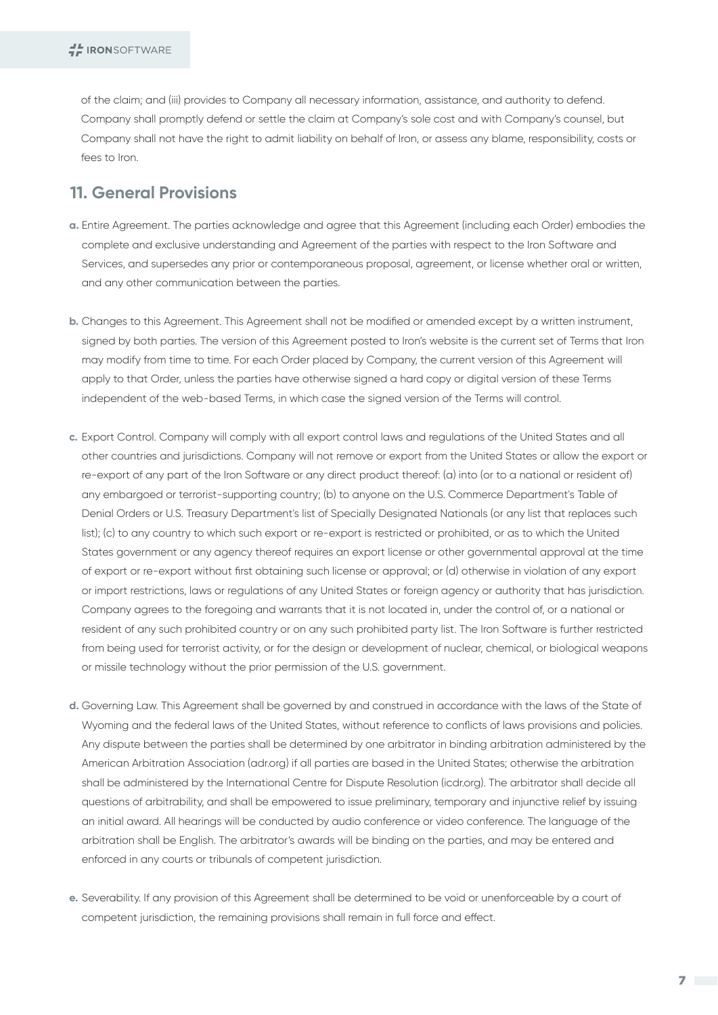of the claim; and (iii) provides to Company all necessary information, assistance, and authority to defend. Company shall promptly defend or settle the claim at Company's sole cost and with Company's counsel, but Company shall not have the right to admit liability on behalf of Iron, or assess any blame, responsibility, costs or fees to Iron.

## **11. General Provisions**

- Entire Agreement. The parties acknowledge and agree that this Agreement (including each Order) embodies the **a.** complete and exclusive understanding and Agreement of the parties with respect to the Iron Software and Services, and supersedes any prior or contemporaneous proposal, agreement, or license whether oral or written, and any other communication between the parties.
- Changes to this Agreement. This Agreement shall not be modified or amended except by a written instrument, **b.** signed by both parties. The version of this Agreement posted to Iron's website is the current set of Terms that Iron may modify from time to time. For each Order placed by Company, the current version of this Agreement will apply to that Order, unless the parties have otherwise signed a hard copy or digital version of these Terms independent of the web-based Terms, in which case the signed version of the Terms will control.
- Export Control. Company will comply with all export control laws and regulations of the United States and all **c.** other countries and jurisdictions. Company will not remove or export from the United States or allow the export or re-export of any part of the Iron Software or any direct product thereof: (a) into (or to a national or resident of) any embargoed or terrorist-supporting country; (b) to anyone on the U.S. Commerce Department's Table of Denial Orders or U.S. Treasury Department's list of Specially Designated Nationals (or any list that replaces such list); (c) to any country to which such export or re-export is restricted or prohibited, or as to which the United States government or any agency thereof requires an export license or other governmental approval at the time of export or re-export without first obtaining such license or approval; or (d) otherwise in violation of any export or import restrictions, laws or regulations of any United States or foreign agency or authority that has jurisdiction. Company agrees to the foregoing and warrants that it is not located in, under the control of, or a national or resident of any such prohibited country or on any such prohibited party list. The Iron Software is further restricted from being used for terrorist activity, or for the design or development of nuclear, chemical, or biological weapons or missile technology without the prior permission of the U.S. government.
- Governing Law. This Agreement shall be governed by and construed in accordance with the laws of the State of **d.** Wyoming and the federal laws of the United States, without reference to conflicts of laws provisions and policies. Any dispute between the parties shall be determined by one arbitrator in binding arbitration administered by the American Arbitration Association (adr.org) if all parties are based in the United States; otherwise the arbitration shall be administered by the International Centre for Dispute Resolution (icdr.org). The arbitrator shall decide all questions of arbitrability, and shall be empowered to issue preliminary, temporary and injunctive relief by issuing an initial award. All hearings will be conducted by audio conference or video conference. The language of the arbitration shall be English. The arbitrator's awards will be binding on the parties, and may be entered and enforced in any courts or tribunals of competent jurisdiction.
- Severability. If any provision of this Agreement shall be determined to be void or unenforceable by a court of **e.** competent jurisdiction, the remaining provisions shall remain in full force and effect.